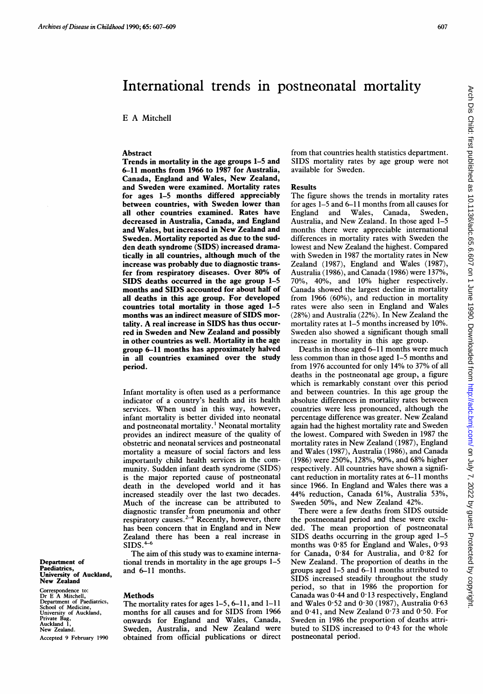# International trends in postneonatal mortality

E A Mitchell

#### **Abstract**

Trends in mortality in the age groups 1-5 and 6-11 months from 1966 to 1987 for Australia, Canada, England and Wales, New Zealand, and Sweden were examined. Mortality rates for ages 1-5 months differed appreciably between countries, with Sweden lower than all other countries examined. Rates have decreased in Australia, Canada, and England and Wales, but increased in New Zealand and Sweden. Mortality reported as due to the sudden death syndrome (SIDS) increased dramatically in all countries, although much of the increase was probably due to diagnostic transfer from respiratory diseases. Over 80% of SIDS deaths occurred in the age group 1-5 months and SIDS accounted for about half of all deaths in this age group. For developed countries total mortality in those aged 1-5 months was an indirect measure of SIDS mortality. A real increase in SIDS has thus occurred in Sweden and New Zealand and possibly in other countries as well. Mortality in the age group 6-11 months has approximately halved in all countries examined over the study period.

Infant mortality is often used as a performance indicator of a country's health and its health services. When used in this way, however, infant mortality is better divided into neonatal and postneonatal mortality.' Neonatal mortality provides an indirect measure of the quality of obstetric and neonatal services and postneonatal mortality a measure of social factors and less importantly child health services in the community. Sudden infant death syndrome (SIDS) is the major reported cause of postneonatal death in the developed world and it has increased steadily over the last two decades. Much of the increase can be attributed to diagnostic transfer from pneumonia and other respiratory causes.<sup>2-4</sup> Recently, however, there has been concern that in England and in New Zealand there has been a real increase in  $SIDS.^{4-6}$ 

The aim of this study was to examine international trends in mortality in the age groups 1-5 and 6-11 months.

Department of Paediatrics, University of Auckland, New Zealand

Correspondence to: Dr E A Mitchell, Department of Paediatrics, School of Medicine, University of Auckland, Private Bag, Auckland 1, New Zealand. Accepted 9 February 1990

## Methods

The mortality rates for ages 1-5, 6-11, and 1-11 months for all causes and for SIDS from 1966 onwards for England and Wales, Canada, Sweden, Australia, and New Zealand were obtained from official publications or direct from that countries health statistics department. SIDS mortality rates by age group were not available for Sweden.

#### Results

The figure shows the trends in mortality rates for ages 1-5 and 6-11 months from all causes for England and Wales, Canada, Sweden, Australia, and New Zealand. In those aged 1-5 months there were appreciable international differences in mortality rates with Sweden the lowest and New Zealand the highest. Compared with Sweden in <sup>1987</sup> the mortality rates in New Zealand (1987), England and Wales (1987), Australia (1986), and Canada (1986) were 137%, 70%, 40%, and 10% higher respectively. Canada showed the largest decline in mortality from 1966 (60%), and reduction in mortality rates were also seen in England and Wales (28%) and Australia (22%). In New Zealand the mortality rates at 1–5 months increased by 10%. Sweden also showed a significant though small increase in mortality in this age group.

Deaths in those aged 6-11 months were much less common than in those aged 1-5 months and from 1976 accounted for only 14% to 37% of all deaths in the postneonatal age group, a figure which is remarkably constant over this period and between countries. In this age group the absolute differences in mortality rates between countries were less pronounced, although the percentage difference was greater. New Zealand again had the highest mortality rate and Sweden the lowest. Compared with Sweden in 1987 the mortality rates in New Zealand (1987), England and Wales (1987), Australia (1986), and Canada (1986) were 250%, 128%, 90%, and 68% higher respectively. All countries have shown a significant reduction in mortality rates at 6-11 months since 1966. In England and Wales there was a 44% reduction, Canada 61%, Australia 53%, Sweden 50%, and New Zealand 42%.

There were <sup>a</sup> few deaths from SIDS outside the postneonatal period and these were excluded. The mean proportion of postneonatal SIDS deaths occurring in the group aged 1-5 months was 0-85 for England and Wales, 0-93 for Canada, 0-84 for Australia, and 0-82 for New Zealand. The proportion of deaths in the groups aged 1-5 and 6-11 months attributed to SIDS increased steadily throughout the study period, so that in 1986 the proportion for Canada was  $0.44$  and  $0.13$  respectively, England and Wales  $0.52$  and  $0.30$  (1987), Australia  $0.63$ and  $0.41$ , and New Zealand  $0.73$  and  $0.50$ . For Sweden in 1986 the proportion of deaths attributed to SIDS increased to 0-43 for the whole postneonatal period.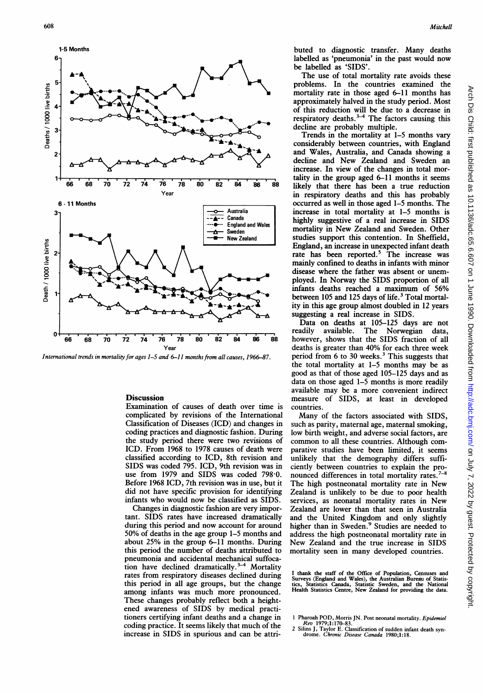

International trends in mortality for ages 1–5 and 6–11 months from all causes, 1966–87.

## **Discussion**

Examination of causes of death over time is complicated by revisions of the International Classification of Diseases (ICD) and changes in coding practices and diagnostic fashion. During the study period there were two revisions of ICD. From 1968 to 1978 causes of death were classified according to ICD, 8th revision and SIDS was coded 795. ICD, 9th revision was in use from 1979 and SIDS was coded 798-0. Before 1968 ICD, 7th revision was in use, but it did not have specific provision for identifying infants who would now be classified as SIDS.

Changes in diagnostic fashion are very important. SIDS rates have increased dramatically during this period and now account for around 50% of deaths in the age group 1-5 months and about 25% in the group 6-11 months. During this period the number of deaths attributed to pneumonia and accidental mechanical suffocation have declined dramatically.<sup>3-4</sup> Mortality rates from respiratory diseases declined during this period in all age groups, but the change among infants was much more pronounced. These changes probably reflect both a heightened awareness of SIDS by medical practitioners certifying infant deaths and a change in coding practice. It seems likely that much of the increase in SIDS in spurious and can be attributed to diagnostic transfer. Many deaths labelled as 'pneumonia' in the past would now

be labelled as 'SIDS'. The use of total mortality rate avoids these problems. In the countries examined the mortality rate in those aged 6-11 months has approximately halved in the study period. Most of this reduction will be due to a decrease in respiratory deaths. $3-4$  The factors causing this decline are probably multiple.

Trends in the mortality at 1-5 months vary considerably between countries, with England and Wales, Australia, and Canada showing <sup>a</sup> decline and New Zealand and Sweden an increase. In view of the changes in total mortality in the group aged 6-11 months it seems likely that there has been a true reduction in respiratory deaths and this has probably occurred as well in those aged 1-5 months. The increase in total mortality at 1-5 months is highly suggestive of a real increase in SIDS mortality in New Zealand and Sweden. Other studies support this contention. In Sheffield, England, an increase in unexpected infant death rate has been reported.<sup>3</sup> The increase was mainly confined to deaths in infants with minor disease where the father was absent or unemployed. In Norway the SIDS proportion of all infants deaths reached <sup>a</sup> maximum of 56% between 105 and 125 days of life.<sup>3</sup> Total mortality in this age group almost doubled in 12 years suggesting a real increase in SIDS.

Data on deaths at 105-125 days are not readily available. The Norwegian data, however, shows that the SIDS fraction of all deaths is greater than 40% for each three week period from 6 to 30 weeks. $3$  This suggests that the total mortality at 1-5 months may be as good as that of those aged 105-125 days and as data on those aged 1-5 months is more readily available may be a more convenient indirect measure of SIDS, at least in developed countries.

Many of the factors associated with SIDS, such as parity, maternal age, maternal smoking, low birth weight, and adverse social factors, are common to all these countries. Although comparative studies have been limited, it seems unlikely that the demography differs sufficiently between countries to explain the pronounced differences in total mortality rates.<sup>7-8</sup> The high postneonatal mortality rate in New Zealand is unlikely to be due to poor health services, as neonatal mortality rates in New Zealand are lower than that seen in Australia and the United Kingdom and only slightly higher than in Sweden.<sup>9</sup> Studies are needed to address the high postneonatal mortality rate in New Zealand and the true increase in SIDS mortality seen in many developed countries.

I thank the staff of the Office of Population, Censuses and<br>Surveys (England and Wales), the Australian Bureau of Statis-<br>tics, Statistics Canada, Statistic Sweden, and the National<br>Health Statistics Centre, New Zealand fo

<sup>1</sup> Pharoah POD, Morris JN. Post neonatal mortality. Epidemiol

Rev 1979;1:170-83.<br>2 Silins J, Taylor E. Classification of sudden infant death syn-<br>drome. Chronic Disease Canada 1980;1:18.